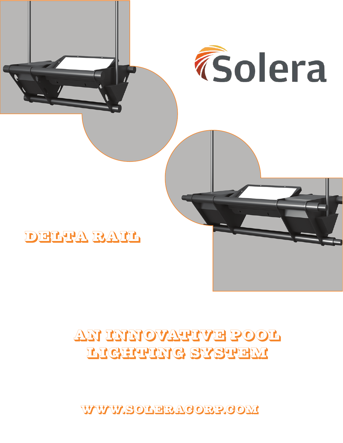WWW.SOLERACORP.COM

# AN INNOVATIVE POOL LIGHTING SYSTEM

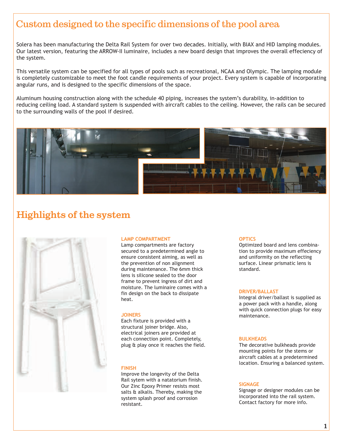### Custom designed to the specific dimensions of the pool area

Solera has been manufacturing the Delta Rail System for over two decades. Initially, with BIAX and HID lamping modules. Our latest version, featuring the ARROW-II luminaire, includes a new board design that improves the overall effeciency of the system.

This versatile system can be specified for all types of pools such as recreational, NCAA and Olympic. The lamping module is completely customizable to meet the foot candle requirements of your project. Every system is capable of incorporating angular runs, and is designed to the specific dimensions of the space.

Aluminum housing construction along with the schedule 40 piping, increases the system's durability, in-addition to reducing ceiling load. A standard system is suspended with aircraft cables to the ceiling. However, the rails can be secured to the surrounding walls of the pool if desired.



### **Highlights of the system**



#### **LAMP COMPARTMENT**

Lamp compartments are factory secured to a predetermined angle to ensure consistent aiming, as well as the prevention of non alignment during maintenance. The 6mm thick lens is silicone sealed to the door frame to prevent ingress of dirt and moisture. The luminaire comes with a fin design on the back to dissipate heat.

#### **JOINERS**

Each fixture is provided with a structural joiner bridge. Also, electrical joiners are provided at each connection point. Completely, plug & play once it reaches the field.

#### **FINISH**

Improve the longevity of the Delta Rail sytem with a natatorium finish. Our Zinc Epoxy Primer resists most salts & alkalis. Thereby, making the system splash proof and corrosion resistant.

#### **OPTICS**

Optimized board and lens combination to provide maximum effeciency and uniformity on the reflecting surface. Linear prismatic lens is standard.

#### **DRIVER/BALLAST**

Integral driver/ballast is supplied as a power pack with a handle, along with quick connection plugs for easy maintenance.

#### **BULKHEADS**

The decorative bulkheads provide mounting points for the stems or aircraft cables at a predetermined location. Ensuring a balanced system.

#### **SIGNAGE**

Signage or designer modules can be incorporated into the rail system. Contact factory for more info.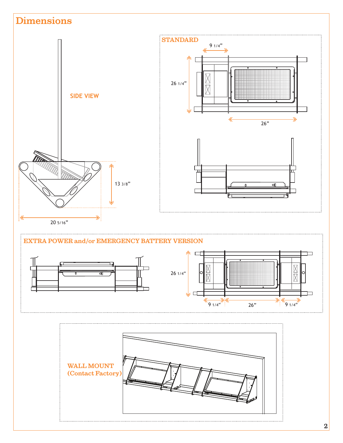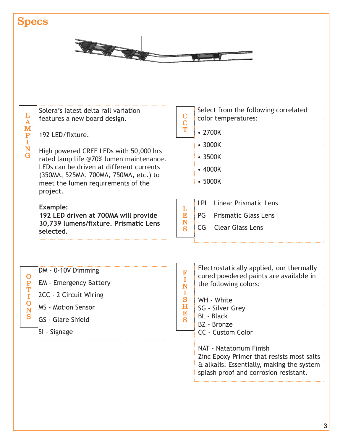## **Specs**



| L<br>$\overline{\mathbf{A}}$<br>M<br>$\mathbf{P}$<br>I<br>N<br>$\mathbf G$ | Solera's latest delta rail variation<br>features a new board design.<br>192 LED/fixture.<br>High powered CREE LEDs with 50,000 hrs<br>rated lamp life @70% lumen maintenance.<br>LEDs can be driven at different currents<br>(350MA, 525MA, 700MA, 750MA, etc.) to<br>meet the lumen requirements of the<br>project.<br><b>Example:</b><br>192 LED driven at 700MA will provide<br>30,739 lumens/fixture. Prismatic Lens<br>selected. | $\frac{\mathbf{C}}{\mathbf{T}}$<br>L<br>E<br>N<br>S                  | Select from the following correlated<br>color temperatures:<br>• 2700K<br>• 3000K<br>$\cdot$ 3500K<br>$-4000K$<br>$\cdot$ 5000K<br><b>Linear Prismatic Lens</b><br><b>LPL</b><br><b>Prismatic Glass Lens</b><br>PG<br>$\mathsf{CG}\phantom{.}$<br><b>Clear Glass Lens</b> |
|----------------------------------------------------------------------------|---------------------------------------------------------------------------------------------------------------------------------------------------------------------------------------------------------------------------------------------------------------------------------------------------------------------------------------------------------------------------------------------------------------------------------------|----------------------------------------------------------------------|---------------------------------------------------------------------------------------------------------------------------------------------------------------------------------------------------------------------------------------------------------------------------|
| $\mathbf O$<br>$\frac{\bar{P}}{I}$<br>$\overline{O}$<br>N<br>S             | DM - 0-10V Dimming<br><b>EM</b> - Emergency Battery<br>2CC - 2 Circuit Wiring<br><b>MS</b> - Motion Sensor<br><b>GS</b> - Glare Shield<br>SI - Signage                                                                                                                                                                                                                                                                                | F<br>Ï<br>N<br>I<br>S<br>$\mathbf H$<br>E<br>$\overline{\mathbf{S}}$ | Electrostatically applied, our thermally<br>cured powdered paints are available in<br>the following colors:<br>WH - White<br>SG - Silver Grey<br><b>BL</b> - Black<br>BZ - Bronze<br><b>CC - Custom Color</b>                                                             |
|                                                                            |                                                                                                                                                                                                                                                                                                                                                                                                                                       |                                                                      |                                                                                                                                                                                                                                                                           |

NAT - Natatorium Finish Zinc Epoxy Primer that resists most salts & alkalis. Essentially, making the system splash proof and corrosion resistant.